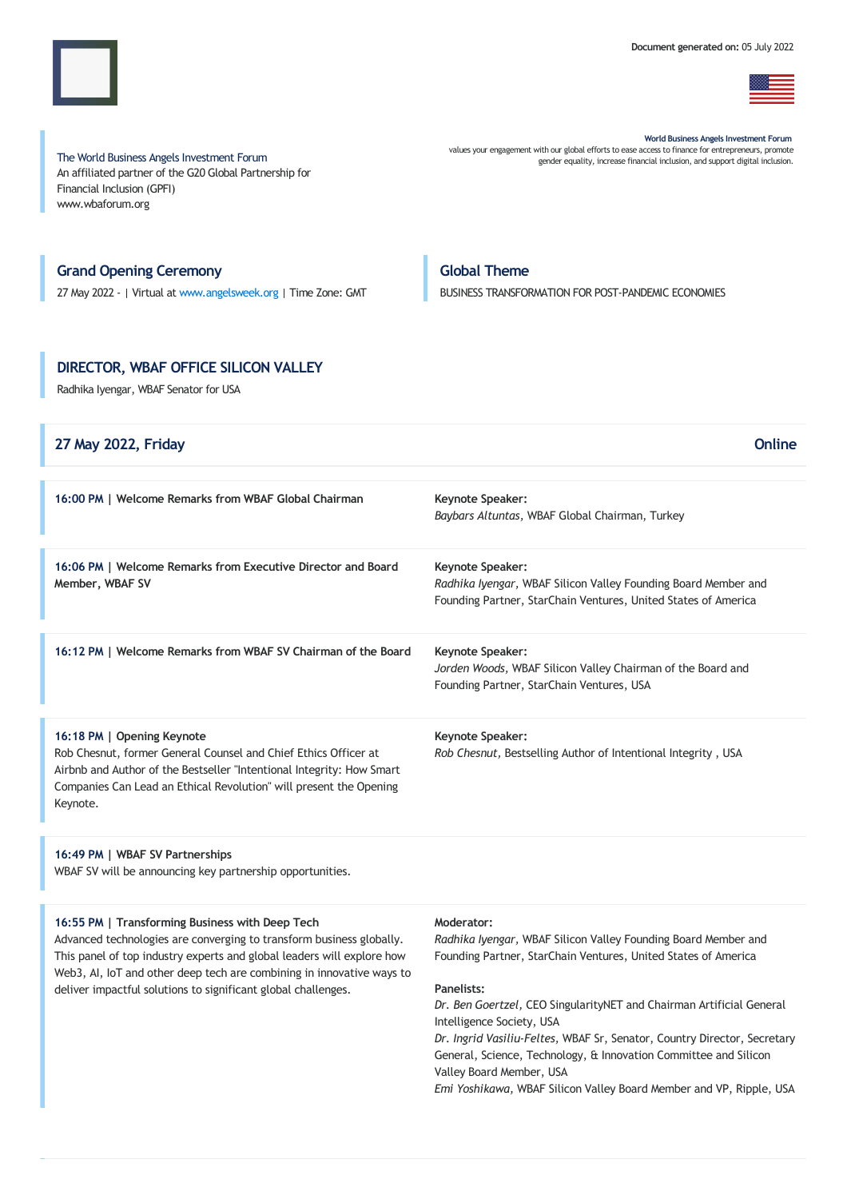

The World Business Angels Investment Forum An affiliated partner of the G20 Global Partnership for Financial Inclusion (GPFI) www.wbaforum.org

World Business Angels Investment Forum values your engagement with our global efforts to ease access to finance for entrepreneurs, promote

gender equality, increase financial inclusion, and support digital inclusion.

# Grand Opening Ceremony

27 May 2022 - | Virtual at [www.angelsweek.org](https://angelsweek.org/) | Time Zone: GMT

# Global Theme

BUSINESS TRANSFORMATION FOR POST-PANDEMIC ECONOMIES

# DIRECTOR, WBAF OFFICE SILICON VALLEY

Radhika Iyengar, WBAF Senator for USA

| 27 May 2022, Friday                                                                                                                                                                                                                                      | Online                                                                                                                                                      |
|----------------------------------------------------------------------------------------------------------------------------------------------------------------------------------------------------------------------------------------------------------|-------------------------------------------------------------------------------------------------------------------------------------------------------------|
| 16:00 PM   Welcome Remarks from WBAF Global Chairman                                                                                                                                                                                                     | Keynote Speaker:<br>Baybars Altuntas, WBAF Global Chairman, Turkey                                                                                          |
| 16:06 PM   Welcome Remarks from Executive Director and Board<br>Member, WBAF SV                                                                                                                                                                          | <b>Keynote Speaker:</b><br>Radhika Iyengar, WBAF Silicon Valley Founding Board Member and<br>Founding Partner, StarChain Ventures, United States of America |
| 16:12 PM   Welcome Remarks from WBAF SV Chairman of the Board                                                                                                                                                                                            | <b>Keynote Speaker:</b><br>Jorden Woods, WBAF Silicon Valley Chairman of the Board and<br>Founding Partner, StarChain Ventures, USA                         |
| 16:18 PM   Opening Keynote<br>Rob Chesnut, former General Counsel and Chief Ethics Officer at<br>Airbnb and Author of the Bestseller "Intentional Integrity: How Smart<br>Companies Can Lead an Ethical Revolution" will present the Opening<br>Keynote. | <b>Keynote Speaker:</b><br>Rob Chesnut, Bestselling Author of Intentional Integrity, USA                                                                    |

16:49 PM | WBAF SV Partnerships WBAF SV will be announcing key partnership opportunities.

# 16:55 PM | Transforming Business with Deep Tech

Advanced technologies are converging to transform business globally. This panel of top industry experts and global leaders will explore how Web3, AI, IoT and other deep tech are combining in innovative ways to deliver impactful solutions to significant global challenges.

## Moderator:

Radhika Iyengar, WBAF Silicon Valley Founding Board Member and Founding Partner, StarChain Ventures, United States of America

## Panelists:

Dr. Ben Goertzel, CEO SingularityNET and Chairman Artificial General Intelligence Society, USA

Dr. Ingrid Vasiliu-Feltes, WBAF Sr, Senator, Country Director, Secretary General, Science, Technology, & Innovation Committee and Silicon Valley Board Member, USA

Emi Yoshikawa, WBAF Silicon Valley Board Member and VP, Ripple, USA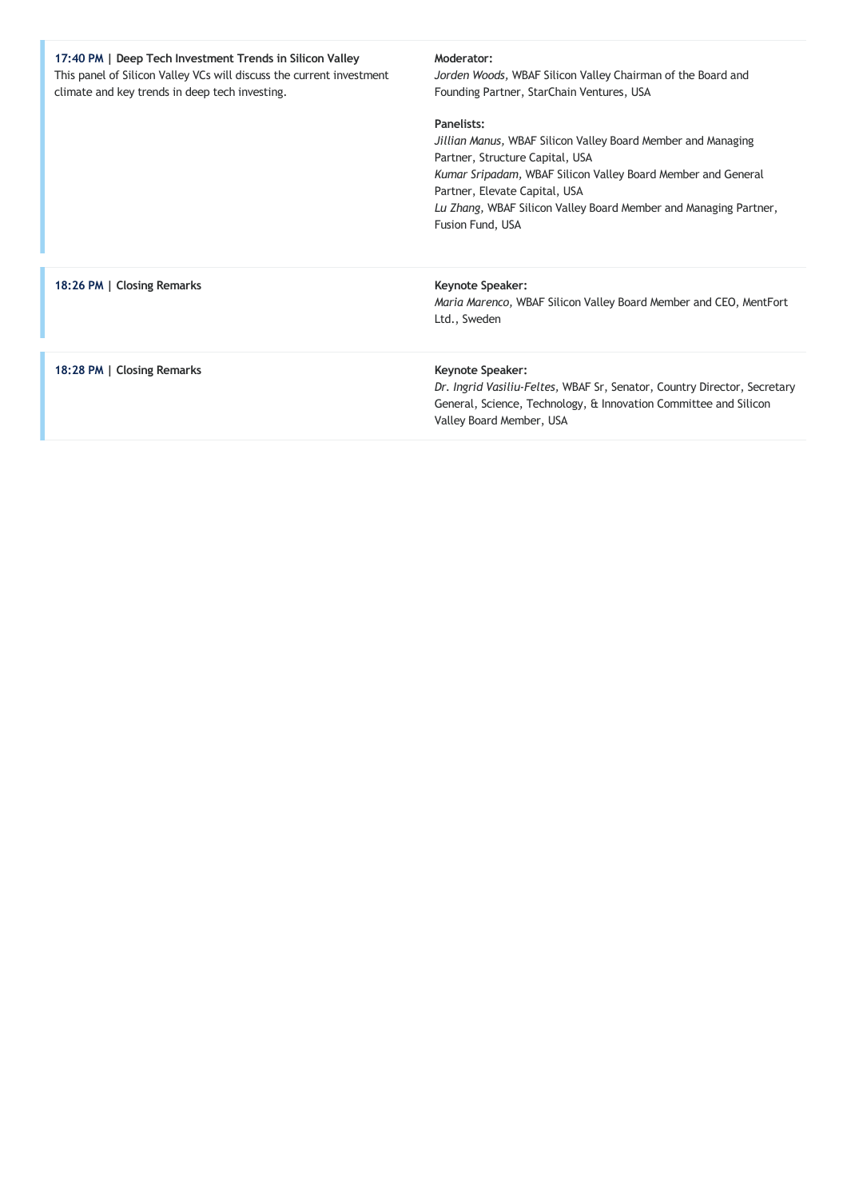| 17:40 PM   Deep Tech Investment Trends in Silicon Valley<br>This panel of Silicon Valley VCs will discuss the current investment<br>climate and key trends in deep tech investing. | Moderator:<br>Jorden Woods, WBAF Silicon Valley Chairman of the Board and<br>Founding Partner, StarChain Ventures, USA                                                                                                                                                                                 |
|------------------------------------------------------------------------------------------------------------------------------------------------------------------------------------|--------------------------------------------------------------------------------------------------------------------------------------------------------------------------------------------------------------------------------------------------------------------------------------------------------|
|                                                                                                                                                                                    | Panelists:<br>Jillian Manus, WBAF Silicon Valley Board Member and Managing<br>Partner, Structure Capital, USA<br>Kumar Sripadam, WBAF Silicon Valley Board Member and General<br>Partner, Elevate Capital, USA<br>Lu Zhang, WBAF Silicon Valley Board Member and Managing Partner,<br>Fusion Fund, USA |
| 18:26 PM   Closing Remarks                                                                                                                                                         | <b>Keynote Speaker:</b><br>Maria Marenco, WBAF Silicon Valley Board Member and CEO, MentFort<br>Ltd., Sweden                                                                                                                                                                                           |
| 18:28 PM   Closing Remarks                                                                                                                                                         | <b>Keynote Speaker:</b><br>Dr. Ingrid Vasiliu-Feltes, WBAF Sr, Senator, Country Director, Secretary<br>General, Science, Technology, & Innovation Committee and Silicon<br>Valley Board Member, USA                                                                                                    |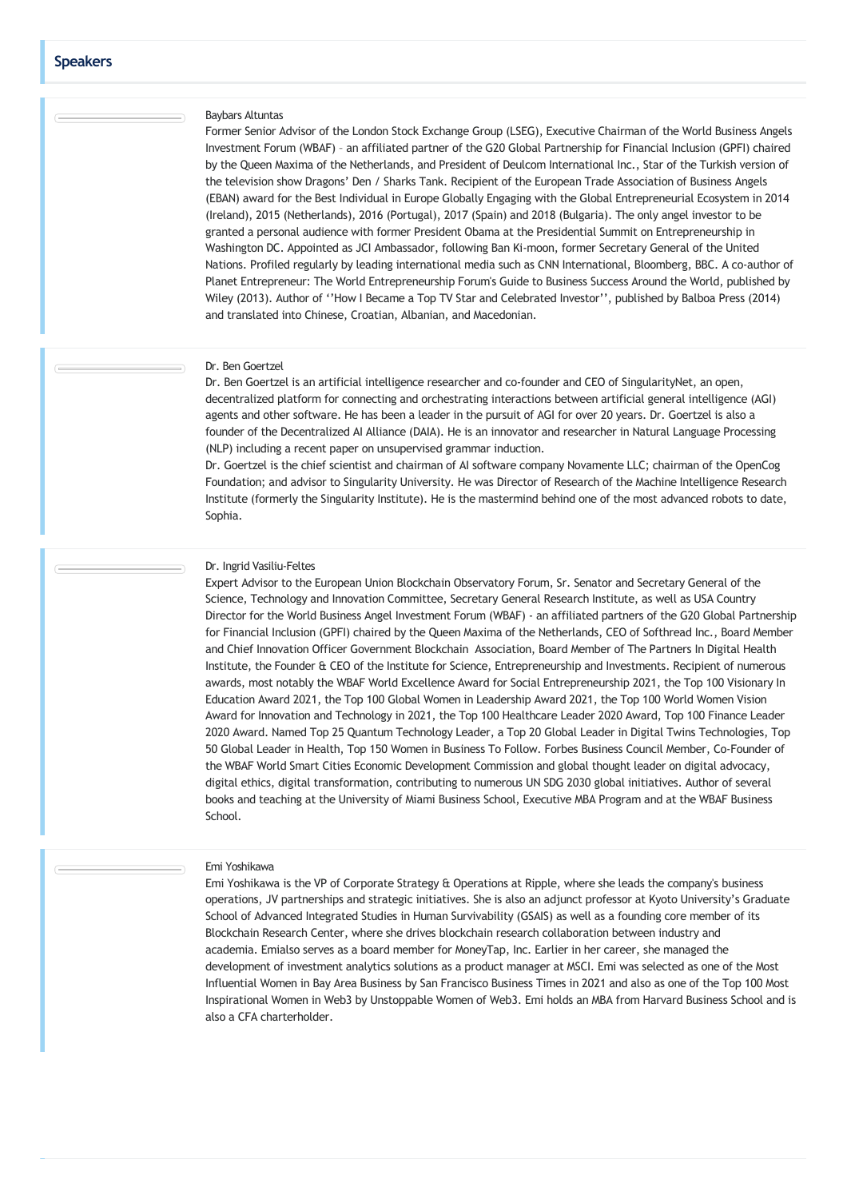# Baybars Altuntas

Former Senior Advisor of the London Stock Exchange Group (LSEG), Executive Chairman of the World Business Angels Investment Forum (WBAF) – an affiliated partner of the G20 Global Partnership for Financial Inclusion (GPFI) chaired by the Queen Maxima of the Netherlands, and President of Deulcom International Inc., Star of the Turkish version of the television show Dragons' Den / Sharks Tank. Recipient of the European Trade Association of Business Angels (EBAN) award for the Best Individual in Europe Globally Engaging with the Global Entrepreneurial Ecosystem in 2014 (Ireland), 2015 (Netherlands), 2016 (Portugal), 2017 (Spain) and 2018 (Bulgaria). The only angel investor to be granted a personal audience with former President Obama at the Presidential Summit on Entrepreneurship in Washington DC. Appointed as JCI Ambassador, following Ban Ki-moon, former Secretary General of the United Nations. Profiled regularly by leading international media such as CNN International, Bloomberg, BBC. A co-author of Planet Entrepreneur: The World Entrepreneurship Forum's Guide to Business Success Around the World, published by Wiley (2013). Author of ''How I Became a Top TV Star and Celebrated Investor'', published by Balboa Press (2014) and translated into Chinese, Croatian, Albanian, and Macedonian.

#### Dr. Ben Goertzel

Dr. Ben Goertzel is an artificial intelligence researcher and co-founder and CEO of SingularityNet, an open, decentralized platform for connecting and orchestrating interactions between artificial general intelligence (AGI) agents and other software. He has been a leader in the pursuit of AGI for over 20 years. Dr. Goertzel is also a founder of the Decentralized AI Alliance (DAIA). He is an innovator and researcher in Natural Language Processing (NLP) including a recent paper on unsupervised grammar induction.

Dr. Goertzel is the chief scientist and chairman of AI software company Novamente LLC; chairman of the OpenCog Foundation; and advisor to Singularity University. He was Director of Research of the Machine Intelligence Research Institute (formerly the Singularity Institute). He is the mastermind behind one of the most advanced robots to date, Sophia.

#### Dr. Ingrid Vasiliu-Feltes

Expert Advisor to the European Union Blockchain Observatory Forum, Sr. Senator and Secretary General of the Science, Technology and Innovation Committee, Secretary General Research Institute, as well as USA Country Director for the World Business Angel Investment Forum (WBAF) - an affiliated partners of the G20 Global Partnership for Financial Inclusion (GPFI) chaired by the Queen Maxima of the Netherlands, CEO of Softhread Inc., Board Member and Chief Innovation Officer Government Blockchain Association, Board Member of The Partners In Digital Health Institute, the Founder & CEO of the Institute for Science, Entrepreneurship and Investments. Recipient of numerous awards, most notably the WBAF World Excellence Award for Social Entrepreneurship 2021, the Top 100 Visionary In Education Award 2021, the Top 100 Global Women in Leadership Award 2021, the Top 100 World Women Vision Award for Innovation and Technology in 2021, the Top 100 Healthcare Leader 2020 Award, Top 100 Finance Leader 2020 Award. Named Top 25 Quantum Technology Leader, a Top 20 Global Leader in Digital Twins Technologies, Top 50 Global Leader in Health, Top 150 Women in Business To Follow. Forbes Business Council Member, Co-Founder of the WBAF World Smart Cities Economic Development Commission and global thought leader on digital advocacy, digital ethics, digital transformation, contributing to numerous UN SDG 2030 global initiatives. Author of several books and teaching at the University of Miami Business School, Executive MBA Program and at the WBAF Business School.

#### Emi Yoshikawa

Emi Yoshikawa is the VP of Corporate Strategy & Operations at Ripple, where she leads the company's business operations, JV partnerships and strategic initiatives. She is also an adjunct professor at Kyoto University's Graduate School of Advanced Integrated Studies in Human Survivability (GSAIS) as well as a founding core member of its Blockchain Research Center, where she drives blockchain research collaboration between industry and academia. Emialso serves as a board member for MoneyTap, Inc. Earlier in her career, she managed the development of investment analytics solutions as a product manager at MSCI. Emi was selected as one of the Most Influential Women in Bay Area Business by San Francisco Business Times in 2021 and also as one of the Top 100 Most Inspirational Women in Web3 by Unstoppable Women of Web3. Emi holds an MBA from Harvard Business School and is also a CFA charterholder.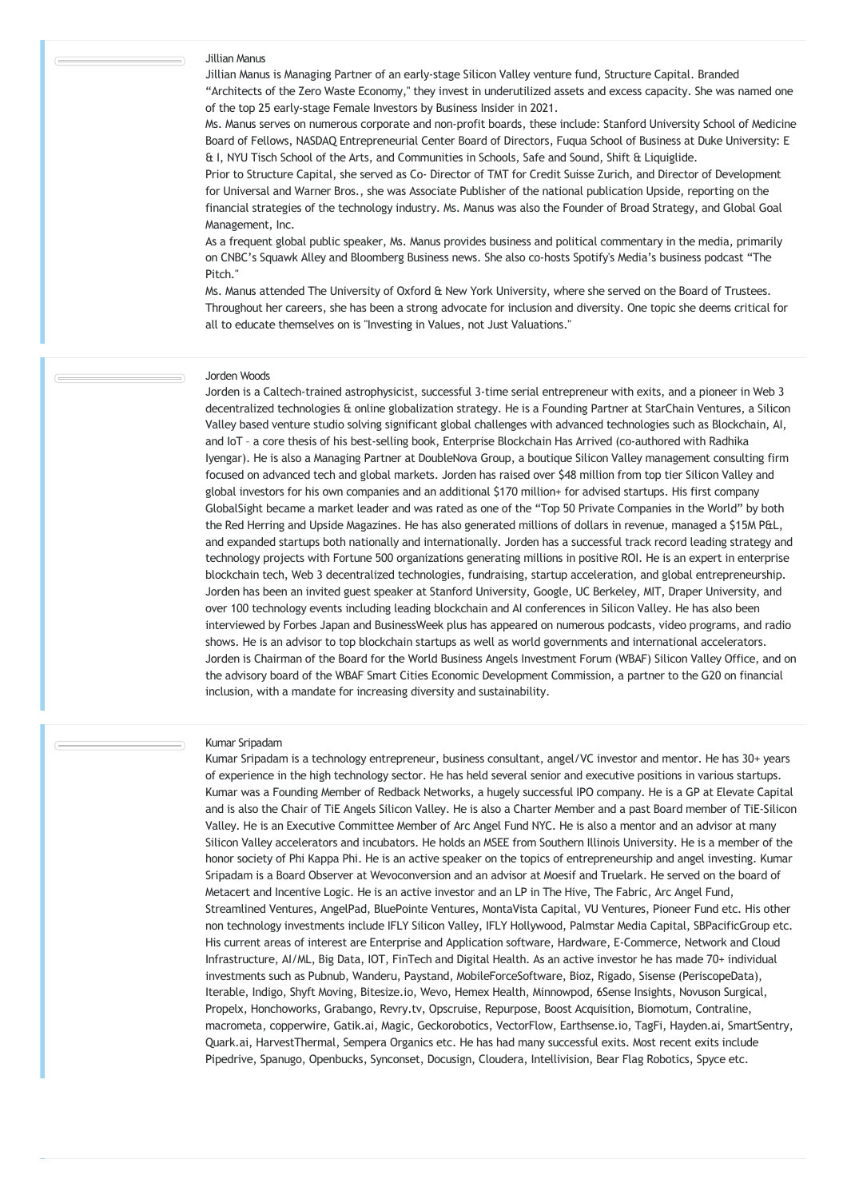### Jillian Manus

Jillian Manus is Managing Partner of an early-stage Silicon Valley venture fund, Structure Capital. Branded "Architects of the Zero Waste Economy," they invest in underutilized assets and excess capacity. She was named one of the top 25 early-stage Female Investors by Business Insider in 2021.

Ms. Manus serves on numerous corporate and non-profit boards, these include: Stanford University School of Medicine Board of Fellows, NASDAQ Entrepreneurial Center Board of Directors, Fuqua School of Business at Duke University: E & I, NYU Tisch School of the Arts, and Communities in Schools, Safe and Sound, Shift & Liquiglide.

Prior to Structure Capital, she served as Co- Director of TMT for Credit Suisse Zurich, and Director of Development for Universal and Warner Bros., she was Associate Publisher of the national publication Upside, reporting on the financial strategies of the technology industry. Ms. Manus was also the Founder of Broad Strategy, and Global Goal Management, Inc.

As a frequent global public speaker, Ms. Manus provides business and political commentary in the media, primarily on CNBC's Squawk Alley and Bloomberg Business news. She also co-hosts Spotify's Media's business podcast "The Pitch."

Ms. Manus attended The University of Oxford & New York University, where she served on the Board of Trustees. Throughout her careers, she has been a strong advocate for inclusion and diversity. One topic she deems critical for all to educate themselves on is "Investing in Values, not Just Valuations."

#### Jorden Woods

Jorden is a Caltech-trained astrophysicist, successful 3-time serial entrepreneur with exits, and a pioneer in Web 3 decentralized technologies & online globalization strategy. He is a Founding Partner at StarChain Ventures, a Silicon Valley based venture studio solving significant global challenges with advanced technologies such as Blockchain, AI, and IoT – a core thesis of his best-selling book, Enterprise Blockchain Has Arrived (co-authored with Radhika Iyengar). He is also a Managing Partner at DoubleNova Group, a boutique Silicon Valley management consulting firm focused on advanced tech and global markets. Jorden has raised over \$48 million from top tier Silicon Valley and global investors for his own companies and an additional \$170 million+ for advised startups. His first company GlobalSight became a market leader and was rated as one of the "Top 50 Private Companies in the World" by both the Red Herring and Upside Magazines. He has also generated millions of dollars in revenue, managed a \$15M P&L, and expanded startups both nationally and internationally. Jorden has a successful track record leading strategy and technology projects with Fortune 500 organizations generating millions in positive ROI. He is an expert in enterprise blockchain tech, Web 3 decentralized technologies, fundraising, startup acceleration, and global entrepreneurship. Jorden has been an invited guest speaker at Stanford University, Google, UC Berkeley, MIT, Draper University, and over 100 technology events including leading blockchain and AIconferences in Silicon Valley. He has also been interviewed by Forbes Japan and BusinessWeek plus has appeared on numerous podcasts, video programs, and radio shows. He is an advisor to top blockchain startups as well as world governments and international accelerators. Jorden is Chairman of the Board for the World Business Angels Investment Forum (WBAF) Silicon Valley Office, and on the advisory board of the WBAF Smart Cities Economic Development Commission, a partner to the G20 on financial inclusion, with a mandate for increasing diversity and sustainability.

#### Kumar Sripadam

Kumar Sripadam is a technology entrepreneur, business consultant, angel/VC investor and mentor. He has 30+ years of experience in the high technology sector. He has held several senior and executive positions in various startups. Kumar was a Founding Member of Redback Networks, a hugely successful IPO company. He is a GP at Elevate Capital and is also the Chair of TiE Angels Silicon Valley. He is also a Charter Member and a past Board member of TiE-Silicon Valley. He is an Executive Committee Member of Arc Angel Fund NYC. He is also a mentor and an advisor at many Silicon Valley accelerators and incubators. He holds an MSEE from Southern Illinois University. He is a member of the honor society of Phi Kappa Phi. He is an active speaker on the topics of entrepreneurship and angel investing. Kumar Sripadam is a Board Observer at Wevoconversion and an advisor at Moesif and Truelark. He served on the board of Metacert and Incentive Logic. He is an active investor and an LP in The Hive, The Fabric, Arc Angel Fund, Streamlined Ventures, AngelPad, BluePointe Ventures, MontaVista Capital, VU Ventures, Pioneer Fund etc. His other non technology investments include IFLY Silicon Valley, IFLY Hollywood, Palmstar Media Capital, SBPacificGroup etc. His current areas of interest are Enterprise and Application software, Hardware, E-Commerce, Network and Cloud Infrastructure, AI/ML, Big Data, IOT, FinTech and Digital Health. As an active investor he has made 70+ individual investments such as Pubnub, Wanderu, Paystand, MobileForceSoftware, Bioz, Rigado, Sisense (PeriscopeData), Iterable, Indigo, Shyft Moving, Bitesize.io, Wevo, Hemex Health, Minnowpod, 6Sense Insights, Novuson Surgical, Propelx, Honchoworks, Grabango, Revry.tv, Opscruise, Repurpose, Boost Acquisition, Biomotum, Contraline, macrometa, copperwire, Gatik.ai, Magic, Geckorobotics, VectorFlow, Earthsense.io, TagFi, Hayden.ai, SmartSentry, Quark.ai, HarvestThermal, Sempera Organics etc. He has had many successful exits. Most recent exits include Pipedrive, Spanugo, Openbucks, Synconset, Docusign, Cloudera, Intellivision, Bear Flag Robotics, Spyce etc.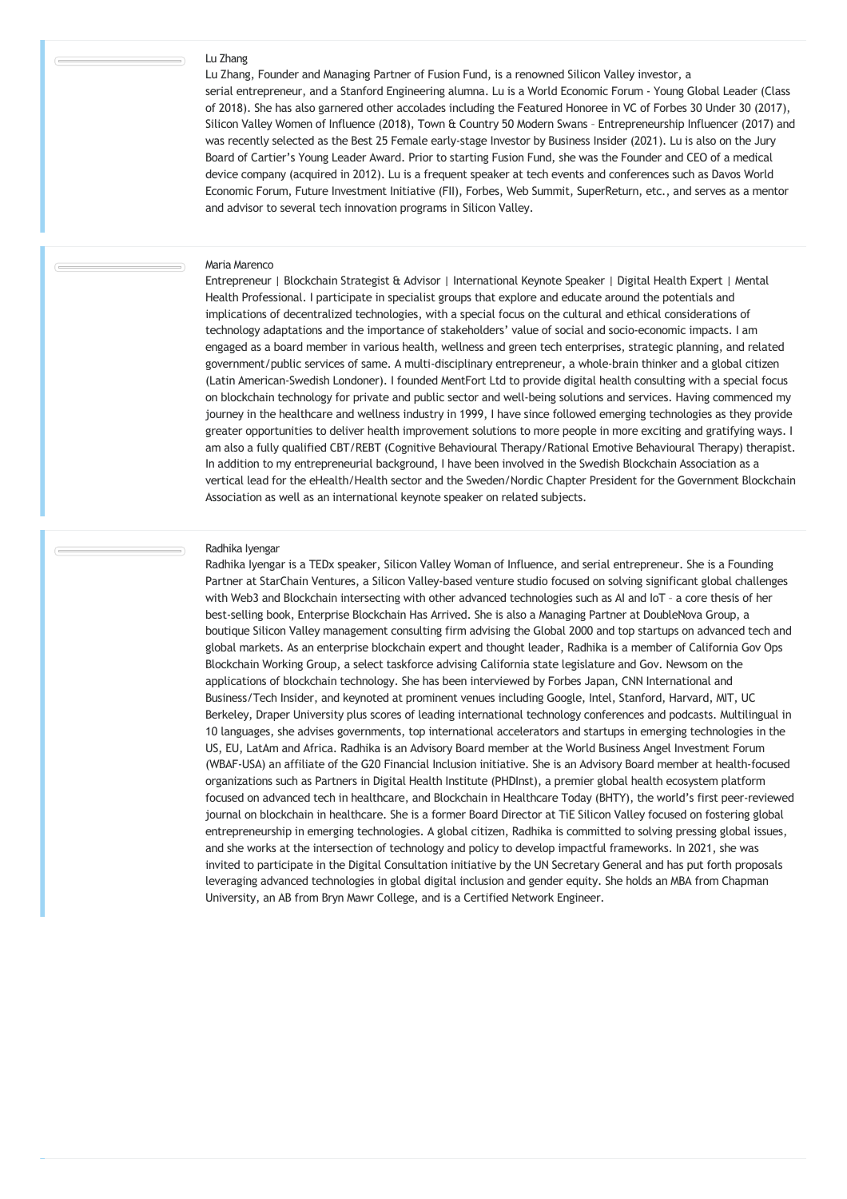## Lu Zhang

Lu Zhang, Founder and Managing Partner of Fusion Fund, is a renowned Silicon Valley investor, a serial entrepreneur, and a Stanford Engineering alumna. Lu is a World Economic Forum - Young Global Leader (Class of 2018). She has also garnered other accolades including the Featured Honoree in VC of Forbes 30 Under 30 (2017), Silicon Valley Women of Influence (2018), Town & Country 50 Modern Swans – Entrepreneurship Influencer (2017) and was recently selected as the Best 25 Female early-stage Investor by Business Insider (2021). Lu is also on the Jury Board of Cartier's Young Leader Award. Prior to starting Fusion Fund, she was the Founder and CEO of a medical device company (acquired in 2012). Lu is a frequent speaker at tech events and conferences such as Davos World Economic Forum, Future Investment Initiative (FII), Forbes, Web Summit, SuperReturn, etc., and serves as a mentor and advisor to several tech innovation programs in Silicon Valley.

#### Maria Marenco

Entrepreneur | Blockchain Strategist & Advisor | International Keynote Speaker | Digital Health Expert | Mental Health Professional. I participate in specialist groups that explore and educate around the potentials and implications of decentralized technologies, with a special focus on the cultural and ethical considerations of technology adaptations and the importance of stakeholders' value of social and socio-economic impacts. I am engaged as a board member in various health, wellness and green tech enterprises, strategic planning, and related government/public services of same. A multi-disciplinary entrepreneur, a whole-brain thinker and a global citizen (Latin American-Swedish Londoner). I founded MentFort Ltd to provide digital health consulting with a special focus on blockchain technology for private and public sector and well-being solutions and services. Having commenced my journey in the healthcare and wellness industry in 1999, I have since followed emerging technologies as they provide greater opportunities to deliver health improvement solutions to more people in more exciting and gratifying ways. I am also a fully qualified CBT/REBT (Cognitive Behavioural Therapy/Rational Emotive Behavioural Therapy) therapist. In addition to my entrepreneurial background, I have been involved in the Swedish Blockchain Association as a vertical lead for the eHealth/Health sector and the Sweden/Nordic Chapter President for the Government Blockchain Association as well as an international keynote speaker on related subjects.

#### Radhika Iyengar

Radhika Iyengar is a TEDx speaker, Silicon Valley Woman of Influence, and serial entrepreneur. She is a Founding Partner at StarChain Ventures, a Silicon Valley-based venture studio focused on solving significant global challenges with Web3 and Blockchain intersecting with other advanced technologies such as AI and IoT - a core thesis of her best-selling book, Enterprise Blockchain Has Arrived. She is also a Managing Partner at DoubleNova Group, a boutique Silicon Valley management consulting firm advising the Global 2000 and top startups on advanced tech and global markets. As an enterprise blockchain expert and thought leader, Radhika is a member of California Gov Ops Blockchain Working Group, a select taskforce advising California state legislature and Gov. Newsom on the applications of blockchain technology. She has been interviewed by Forbes Japan, CNN International and Business/Tech Insider, and keynoted at prominent venues including Google, Intel, Stanford, Harvard, MIT, UC Berkeley, Draper University plus scores of leading international technology conferences and podcasts. Multilingual in 10 languages, she advises governments, top international accelerators and startups in emerging technologies in the US, EU, LatAm and Africa. Radhika is an Advisory Board member at the World Business Angel Investment Forum (WBAF-USA) an affiliate of the G20 Financial Inclusion initiative. She is an Advisory Board member at health-focused organizations such as Partners in Digital Health Institute (PHDInst), a premier global health ecosystem platform focused on advanced tech in healthcare, and Blockchain in Healthcare Today (BHTY), the world's first peer-reviewed journal on blockchain in healthcare. She is a former Board Director at TiE Silicon Valley focused on fostering global entrepreneurship in emerging technologies. A global citizen, Radhika is committed to solving pressing global issues, and she works at the intersection of technology and policy to develop impactful frameworks. In 2021, she was invited to participate in the Digital Consultation initiative by the UN Secretary General and has put forth proposals leveraging advanced technologies in global digital inclusion and gender equity. She holds an MBA from Chapman University, an AB from Bryn Mawr College, and is a Certified Network Engineer.